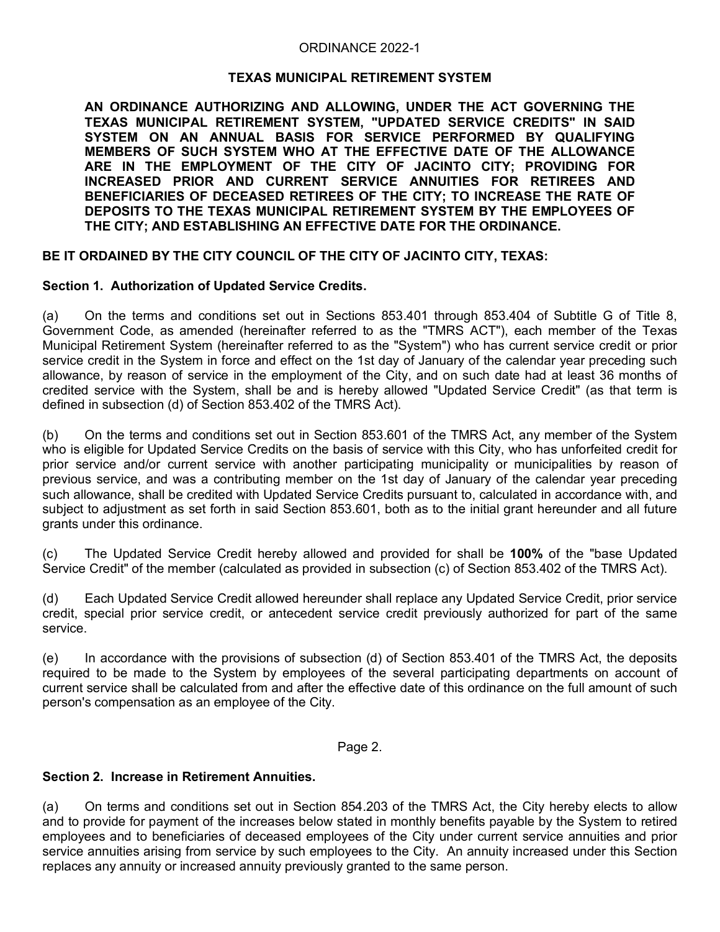## ORDINANCE 2022-1

## **TEXAS MUNICIPAL RETIREMENT SYSTEM**

**AN ORDINANCE AUTHORIZING AND ALLOWING, UNDER THE ACT GOVERNING THE TEXAS MUNICIPAL RETIREMENT SYSTEM, "UPDATED SERVICE CREDITS" IN SAID SYSTEM ON AN ANNUAL BASIS FOR SERVICE PERFORMED BY QUALIFYING MEMBERS OF SUCH SYSTEM WHO AT THE EFFECTIVE DATE OF THE ALLOWANCE ARE IN THE EMPLOYMENT OF THE CITY OF JACINTO CITY; PROVIDING FOR INCREASED PRIOR AND CURRENT SERVICE ANNUITIES FOR RETIREES AND BENEFICIARIES OF DECEASED RETIREES OF THE CITY; TO INCREASE THE RATE OF DEPOSITS TO THE TEXAS MUNICIPAL RETIREMENT SYSTEM BY THE EMPLOYEES OF THE CITY; AND ESTABLISHING AN EFFECTIVE DATE FOR THE ORDINANCE.**

## **BE IT ORDAINED BY THE CITY COUNCIL OF THE CITY OF JACINTO CITY, TEXAS:**

## **Section 1. Authorization of Updated Service Credits.**

(a) On the terms and conditions set out in Sections 853.401 through 853.404 of Subtitle G of Title 8, Government Code, as amended (hereinafter referred to as the "TMRS ACT"), each member of the Texas Municipal Retirement System (hereinafter referred to as the "System") who has current service credit or prior service credit in the System in force and effect on the 1st day of January of the calendar year preceding such allowance, by reason of service in the employment of the City, and on such date had at least 36 months of credited service with the System, shall be and is hereby allowed "Updated Service Credit" (as that term is defined in subsection (d) of Section 853.402 of the TMRS Act).

(b) On the terms and conditions set out in Section 853.601 of the TMRS Act, any member of the System who is eligible for Updated Service Credits on the basis of service with this City, who has unforfeited credit for prior service and/or current service with another participating municipality or municipalities by reason of previous service, and was a contributing member on the 1st day of January of the calendar year preceding such allowance, shall be credited with Updated Service Credits pursuant to, calculated in accordance with, and subject to adjustment as set forth in said Section 853.601, both as to the initial grant hereunder and all future grants under this ordinance.

(c) The Updated Service Credit hereby allowed and provided for shall be **100%** of the "base Updated Service Credit" of the member (calculated as provided in subsection (c) of Section 853.402 of the TMRS Act).

(d) Each Updated Service Credit allowed hereunder shall replace any Updated Service Credit, prior service credit, special prior service credit, or antecedent service credit previously authorized for part of the same service.

(e) In accordance with the provisions of subsection (d) of Section 853.401 of the TMRS Act, the deposits required to be made to the System by employees of the several participating departments on account of current service shall be calculated from and after the effective date of this ordinance on the full amount of such person's compensation as an employee of the City.

## Page 2.

## **Section 2. Increase in Retirement Annuities.**

(a) On terms and conditions set out in Section 854.203 of the TMRS Act, the City hereby elects to allow and to provide for payment of the increases below stated in monthly benefits payable by the System to retired employees and to beneficiaries of deceased employees of the City under current service annuities and prior service annuities arising from service by such employees to the City. An annuity increased under this Section replaces any annuity or increased annuity previously granted to the same person.